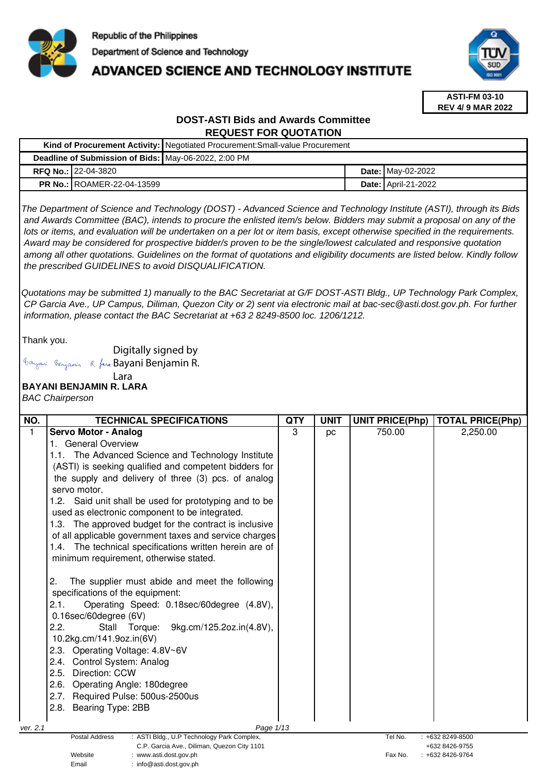

# **ADVANCED SCIENCE AND TECHNOLOGY INSTITUTE**



**ASTI-FM 03-10 REV 4/ 9 MAR 2022**

## **DOST-ASTI Bids and Awards Committee REQUEST FOR QUOTATION**

| Kind of Procurement Activity: Negotiated Procurement: Small-value Procurement |                                   |  |  |                            |
|-------------------------------------------------------------------------------|-----------------------------------|--|--|----------------------------|
| Deadline of Submission of Bids: May-06-2022, 2:00 PM                          |                                   |  |  |                            |
|                                                                               | <b>RFQ No.: 22-04-3820</b>        |  |  | <b>Date: May-02-2022</b>   |
|                                                                               | <b>PR No.: ROAMER-22-04-13599</b> |  |  | <b>Date: April-21-2022</b> |

The Department of Science and Technology (DOST) - Advanced Science and Technology Institute (ASTI), through its Bids and Awards Committee (BAC), intends to procure the enlisted item/s below. Bidders may submit a proposal on any of the lots or items, and evaluation will be undertaken on a per lot or item basis, except otherwise specified in the requirements. Award may be considered for prospective bidder/s proven to be the single/lowest calculated and responsive quotation among all other quotations. Guidelines on the format of quotations and eligibility documents are listed below. Kindly follow the prescribed GUIDELINES to avoid DISQUALIFICATION.

Quotations may be submitted 1) manually to the BAC Secretariat at G/F DOST-ASTI Bldg., UP Technology Park Complex, CP Garcia Ave., UP Campus, Diliman, Quezon City or 2) sent via electronic mail at bac-sec@asti.dost.gov.ph. For further information, please contact the BAC Secretariat at +63 2 8249-8500 loc. 1206/1212.

Thank you.

Digitally signed by

Bayani Benjamin R. fan Bayani Benjamin R.

#### **BAYANI BENJAMIN R. LARA**  Lara

BAC Chairperson

| NO.      | <b>TECHNICAL SPECIFICATIONS</b>                                                  | <b>QTY</b> | <b>UNIT</b> | <b>UNIT PRICE(Php)</b> | <b>TOTAL PRICE(Php)</b> |
|----------|----------------------------------------------------------------------------------|------------|-------------|------------------------|-------------------------|
| 1        | Servo Motor - Analog                                                             | 3          | pc          | 750.00                 | 2,250.00                |
|          | 1. General Overview                                                              |            |             |                        |                         |
|          | 1.1. The Advanced Science and Technology Institute                               |            |             |                        |                         |
|          | (ASTI) is seeking qualified and competent bidders for                            |            |             |                        |                         |
|          | the supply and delivery of three (3) pcs. of analog                              |            |             |                        |                         |
|          | servo motor.                                                                     |            |             |                        |                         |
|          | 1.2. Said unit shall be used for prototyping and to be                           |            |             |                        |                         |
|          | used as electronic component to be integrated.                                   |            |             |                        |                         |
|          | 1.3. The approved budget for the contract is inclusive                           |            |             |                        |                         |
|          | of all applicable government taxes and service charges                           |            |             |                        |                         |
|          | 1.4. The technical specifications written herein are of                          |            |             |                        |                         |
|          | minimum requirement, otherwise stated.                                           |            |             |                        |                         |
|          |                                                                                  |            |             |                        |                         |
|          | 2.<br>The supplier must abide and meet the following                             |            |             |                        |                         |
|          | specifications of the equipment:                                                 |            |             |                        |                         |
|          | Operating Speed: 0.18sec/60degree (4.8V),<br>2.1.                                |            |             |                        |                         |
|          | 0.16sec/60degree (6V)                                                            |            |             |                        |                         |
|          | 2.2.<br>9kg.cm/125.2oz.in(4.8V),<br>Stall Torque:                                |            |             |                        |                         |
|          | 10.2kg.cm/141.9oz.in(6V)                                                         |            |             |                        |                         |
|          | 2.3. Operating Voltage: 4.8V~6V                                                  |            |             |                        |                         |
|          | 2.4. Control System: Analog                                                      |            |             |                        |                         |
|          | Direction: CCW<br>2.5.                                                           |            |             |                        |                         |
|          | 2.6. Operating Angle: 180degree                                                  |            |             |                        |                         |
|          | 2.7. Required Pulse: 500us-2500us                                                |            |             |                        |                         |
|          | 2.8. Bearing Type: 2BB                                                           |            |             |                        |                         |
|          |                                                                                  |            |             |                        |                         |
| ver. 2.1 | Page 1/13<br><b>Postal Address</b><br>: ASTI Bldg., U.P Technology Park Complex, |            |             | Tel No.                | +632 8249-8500          |
|          | C.P. Garcia Ave., Diliman, Quezon City 1101                                      |            |             |                        | +632 8426-9755          |
|          | Website<br>www.asti.dost.gov.ph                                                  |            |             | Fax No.                | +632 8426-9764          |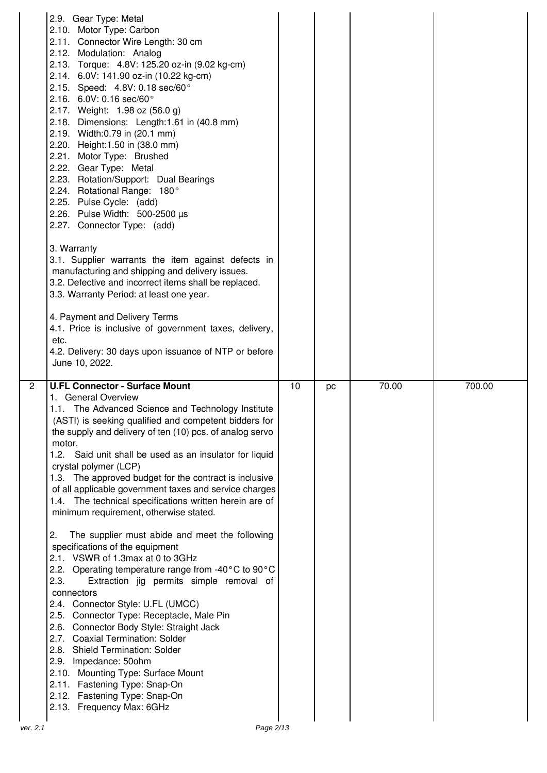|              | 2.9. Gear Type: Metal<br>2.10. Motor Type: Carbon<br>2.11. Connector Wire Length: 30 cm<br>2.12. Modulation: Analog<br>2.13. Torque: 4.8V: 125.20 oz-in (9.02 kg-cm)<br>2.14. 6.0V: 141.90 oz-in (10.22 kg-cm)<br>2.15. Speed: 4.8V: 0.18 sec/60°<br>2.16. $6.0V: 0.16$ sec/60°<br>2.17. Weight: 1.98 oz (56.0 g)<br>2.18. Dimensions: Length:1.61 in (40.8 mm)<br>2.19. Width:0.79 in (20.1 mm)<br>2.20. Height: 1.50 in (38.0 mm)<br>2.21. Motor Type: Brushed<br>2.22. Gear Type: Metal<br>2.23. Rotation/Support: Dual Bearings<br>2.24. Rotational Range: 180°<br>2.25. Pulse Cycle: (add)<br>2.26. Pulse Width: 500-2500 µs<br>2.27. Connector Type: (add)                                                                                     |    |    |       |        |
|--------------|------------------------------------------------------------------------------------------------------------------------------------------------------------------------------------------------------------------------------------------------------------------------------------------------------------------------------------------------------------------------------------------------------------------------------------------------------------------------------------------------------------------------------------------------------------------------------------------------------------------------------------------------------------------------------------------------------------------------------------------------------|----|----|-------|--------|
|              | 3. Warranty<br>3.1. Supplier warrants the item against defects in<br>manufacturing and shipping and delivery issues.<br>3.2. Defective and incorrect items shall be replaced.<br>3.3. Warranty Period: at least one year.                                                                                                                                                                                                                                                                                                                                                                                                                                                                                                                            |    |    |       |        |
|              | 4. Payment and Delivery Terms<br>4.1. Price is inclusive of government taxes, delivery,<br>etc.<br>4.2. Delivery: 30 days upon issuance of NTP or before<br>June 10, 2022.                                                                                                                                                                                                                                                                                                                                                                                                                                                                                                                                                                           |    |    |       |        |
| $\mathbf{2}$ | <b>U.FL Connector - Surface Mount</b><br>1. General Overview<br>1.1. The Advanced Science and Technology Institute<br>(ASTI) is seeking qualified and competent bidders for<br>the supply and delivery of ten (10) pcs. of analog servo<br>motor.<br>1.2. Said unit shall be used as an insulator for liquid<br>crystal polymer (LCP)<br>1.3. The approved budget for the contract is inclusive<br>of all applicable government taxes and service charges<br>1.4. The technical specifications written herein are of<br>minimum requirement, otherwise stated.<br>2.<br>The supplier must abide and meet the following<br>specifications of the equipment<br>2.1. VSWR of 1.3max at 0 to 3GHz<br>2.2. Operating temperature range from -40°C to 90°C | 10 | pc | 70.00 | 700.00 |
|              | Extraction jig permits simple removal of<br>2.3.<br>connectors<br>2.4. Connector Style: U.FL (UMCC)<br>2.5. Connector Type: Receptacle, Male Pin<br>2.6. Connector Body Style: Straight Jack<br>2.7. Coaxial Termination: Solder<br>2.8. Shield Termination: Solder<br>2.9. Impedance: 50ohm<br>2.10. Mounting Type: Surface Mount<br>2.11. Fastening Type: Snap-On<br>2.12. Fastening Type: Snap-On<br>2.13. Frequency Max: 6GHz                                                                                                                                                                                                                                                                                                                    |    |    |       |        |
|              | Page 2/13                                                                                                                                                                                                                                                                                                                                                                                                                                                                                                                                                                                                                                                                                                                                            |    |    |       |        |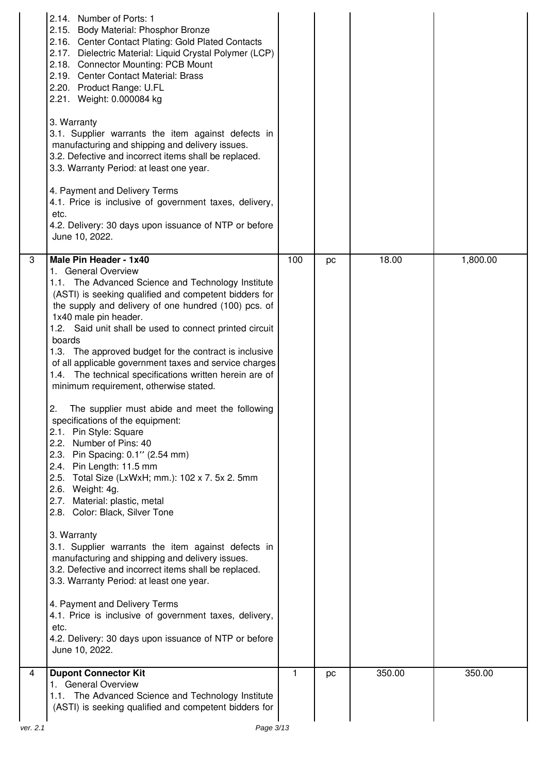|          | 2.14. Number of Ports: 1<br>2.15. Body Material: Phosphor Bronze<br>2.16. Center Contact Plating: Gold Plated Contacts<br>2.17. Dielectric Material: Liquid Crystal Polymer (LCP)<br>2.18. Connector Mounting: PCB Mount<br>2.19. Center Contact Material: Brass<br>2.20. Product Range: U.FL<br>2.21. Weight: 0.000084 kg<br>3. Warranty<br>3.1. Supplier warrants the item against defects in<br>manufacturing and shipping and delivery issues.<br>3.2. Defective and incorrect items shall be replaced.<br>3.3. Warranty Period: at least one year.<br>4. Payment and Delivery Terms<br>4.1. Price is inclusive of government taxes, delivery,<br>etc.<br>4.2. Delivery: 30 days upon issuance of NTP or before<br>June 10, 2022.                                                                                                                                                                                                                                                                                                                                                                                                                                                                                                                                                                              |     |    |        |          |
|----------|--------------------------------------------------------------------------------------------------------------------------------------------------------------------------------------------------------------------------------------------------------------------------------------------------------------------------------------------------------------------------------------------------------------------------------------------------------------------------------------------------------------------------------------------------------------------------------------------------------------------------------------------------------------------------------------------------------------------------------------------------------------------------------------------------------------------------------------------------------------------------------------------------------------------------------------------------------------------------------------------------------------------------------------------------------------------------------------------------------------------------------------------------------------------------------------------------------------------------------------------------------------------------------------------------------------------|-----|----|--------|----------|
| 3        | Male Pin Header - 1x40<br>1. General Overview<br>1.1. The Advanced Science and Technology Institute<br>(ASTI) is seeking qualified and competent bidders for<br>the supply and delivery of one hundred (100) pcs. of<br>1x40 male pin header.<br>1.2. Said unit shall be used to connect printed circuit<br>boards<br>1.3. The approved budget for the contract is inclusive<br>of all applicable government taxes and service charges<br>1.4. The technical specifications written herein are of<br>minimum requirement, otherwise stated.<br>The supplier must abide and meet the following<br>2.<br>specifications of the equipment:<br>2.1. Pin Style: Square<br>2.2. Number of Pins: 40<br>2.3. Pin Spacing: 0.1" (2.54 mm)<br>2.4. Pin Length: 11.5 mm<br>2.5. Total Size (LxWxH; mm.): 102 x 7. 5x 2. 5mm<br>2.6. Weight: 4g.<br>2.7. Material: plastic, metal<br>2.8. Color: Black, Silver Tone<br>3. Warranty<br>3.1. Supplier warrants the item against defects in<br>manufacturing and shipping and delivery issues.<br>3.2. Defective and incorrect items shall be replaced.<br>3.3. Warranty Period: at least one year.<br>4. Payment and Delivery Terms<br>4.1. Price is inclusive of government taxes, delivery,<br>etc.<br>4.2. Delivery: 30 days upon issuance of NTP or before<br>June 10, 2022. | 100 | pc | 18.00  | 1,800.00 |
| 4        | <b>Dupont Connector Kit</b><br>1. General Overview<br>1.1. The Advanced Science and Technology Institute<br>(ASTI) is seeking qualified and competent bidders for                                                                                                                                                                                                                                                                                                                                                                                                                                                                                                                                                                                                                                                                                                                                                                                                                                                                                                                                                                                                                                                                                                                                                  | 1.  | pc | 350.00 | 350.00   |
| ver. 2.1 | Page 3/13                                                                                                                                                                                                                                                                                                                                                                                                                                                                                                                                                                                                                                                                                                                                                                                                                                                                                                                                                                                                                                                                                                                                                                                                                                                                                                          |     |    |        |          |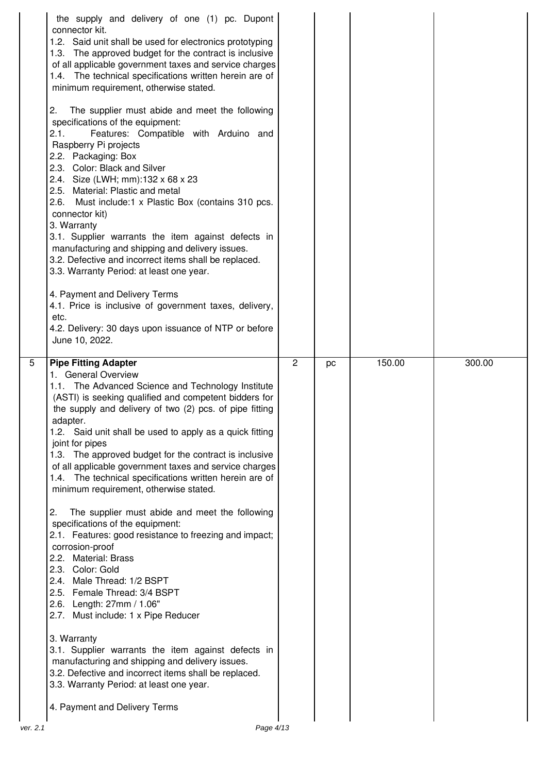|          | the supply and delivery of one (1) pc. Dupont<br>connector kit.<br>1.2. Said unit shall be used for electronics prototyping<br>1.3. The approved budget for the contract is inclusive<br>of all applicable government taxes and service charges<br>1.4. The technical specifications written herein are of<br>minimum requirement, otherwise stated.<br>2.<br>The supplier must abide and meet the following<br>specifications of the equipment:<br>Features: Compatible with Arduino and<br>2.1.<br>Raspberry Pi projects<br>2.2. Packaging: Box<br>2.3. Color: Black and Silver<br>2.4. Size (LWH; mm):132 x 68 x 23<br>2.5. Material: Plastic and metal<br>Must include:1 x Plastic Box (contains 310 pcs.<br>2.6.<br>connector kit)<br>3. Warranty<br>3.1. Supplier warrants the item against defects in<br>manufacturing and shipping and delivery issues.<br>3.2. Defective and incorrect items shall be replaced.<br>3.3. Warranty Period: at least one year.<br>4. Payment and Delivery Terms<br>4.1. Price is inclusive of government taxes, delivery,<br>etc.<br>4.2. Delivery: 30 days upon issuance of NTP or before<br>June 10, 2022.                    |   |    |        |        |
|----------|-----------------------------------------------------------------------------------------------------------------------------------------------------------------------------------------------------------------------------------------------------------------------------------------------------------------------------------------------------------------------------------------------------------------------------------------------------------------------------------------------------------------------------------------------------------------------------------------------------------------------------------------------------------------------------------------------------------------------------------------------------------------------------------------------------------------------------------------------------------------------------------------------------------------------------------------------------------------------------------------------------------------------------------------------------------------------------------------------------------------------------------------------------------------------|---|----|--------|--------|
| 5        | <b>Pipe Fitting Adapter</b><br>1. General Overview<br>1.1. The Advanced Science and Technology Institute<br>(ASTI) is seeking qualified and competent bidders for<br>the supply and delivery of two (2) pcs. of pipe fitting<br>adapter.<br>1.2. Said unit shall be used to apply as a quick fitting<br>joint for pipes<br>1.3. The approved budget for the contract is inclusive<br>of all applicable government taxes and service charges<br>1.4. The technical specifications written herein are of<br>minimum requirement, otherwise stated.<br>2.<br>The supplier must abide and meet the following<br>specifications of the equipment:<br>2.1. Features: good resistance to freezing and impact;<br>corrosion-proof<br>2.2. Material: Brass<br>2.3. Color: Gold<br>2.4. Male Thread: 1/2 BSPT<br>2.5. Female Thread: 3/4 BSPT<br>2.6. Length: 27mm / 1.06"<br>2.7. Must include: 1 x Pipe Reducer<br>3. Warranty<br>3.1. Supplier warrants the item against defects in<br>manufacturing and shipping and delivery issues.<br>3.2. Defective and incorrect items shall be replaced.<br>3.3. Warranty Period: at least one year.<br>4. Payment and Delivery Terms | 2 | pc | 150.00 | 300.00 |
| ver. 2.1 | Page 4/13                                                                                                                                                                                                                                                                                                                                                                                                                                                                                                                                                                                                                                                                                                                                                                                                                                                                                                                                                                                                                                                                                                                                                             |   |    |        |        |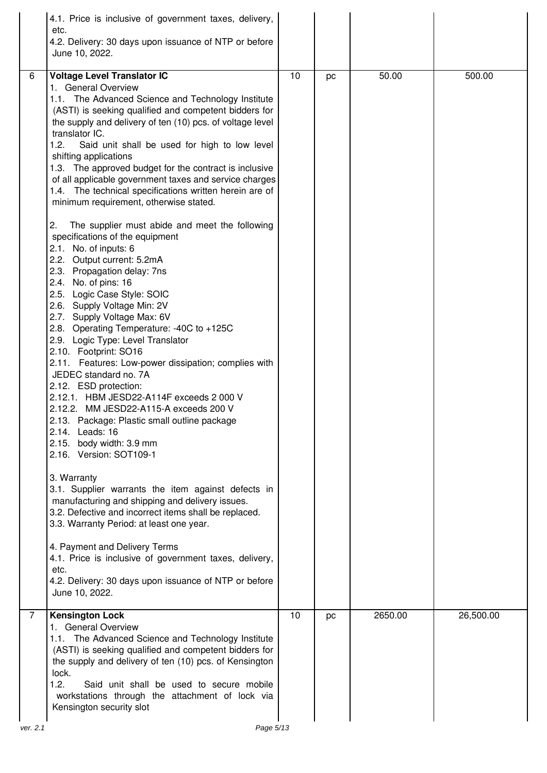|          | 4.1. Price is inclusive of government taxes, delivery,<br>etc.<br>4.2. Delivery: 30 days upon issuance of NTP or before<br>June 10, 2022.                                                                                                                                                                                                                                                                                                                                                                                                                                                                                                                                                                                                                                                                                                                                                                                                                                                                                                                                                                                                                                                                                                                                                                                                                                                                                                                                                                                                                                                                                                                                                                         |    |    |         |           |
|----------|-------------------------------------------------------------------------------------------------------------------------------------------------------------------------------------------------------------------------------------------------------------------------------------------------------------------------------------------------------------------------------------------------------------------------------------------------------------------------------------------------------------------------------------------------------------------------------------------------------------------------------------------------------------------------------------------------------------------------------------------------------------------------------------------------------------------------------------------------------------------------------------------------------------------------------------------------------------------------------------------------------------------------------------------------------------------------------------------------------------------------------------------------------------------------------------------------------------------------------------------------------------------------------------------------------------------------------------------------------------------------------------------------------------------------------------------------------------------------------------------------------------------------------------------------------------------------------------------------------------------------------------------------------------------------------------------------------------------|----|----|---------|-----------|
| 6        | Voltage Level Translator IC<br>1. General Overview<br>1.1. The Advanced Science and Technology Institute<br>(ASTI) is seeking qualified and competent bidders for<br>the supply and delivery of ten (10) pcs. of voltage level<br>translator IC.<br>1.2.<br>Said unit shall be used for high to low level<br>shifting applications<br>1.3. The approved budget for the contract is inclusive<br>of all applicable government taxes and service charges<br>1.4. The technical specifications written herein are of<br>minimum requirement, otherwise stated.<br>The supplier must abide and meet the following<br>2.<br>specifications of the equipment<br>2.1. No. of inputs: 6<br>2.2. Output current: 5.2mA<br>2.3. Propagation delay: 7ns<br>2.4. No. of pins: 16<br>2.5. Logic Case Style: SOIC<br>2.6. Supply Voltage Min: 2V<br>2.7. Supply Voltage Max: 6V<br>2.8. Operating Temperature: -40C to +125C<br>2.9. Logic Type: Level Translator<br>2.10. Footprint: SO16<br>2.11. Features: Low-power dissipation; complies with<br>JEDEC standard no. 7A<br>2.12. ESD protection:<br>2.12.1. HBM JESD22-A114F exceeds 2 000 V<br>2.12.2. MM JESD22-A115-A exceeds 200 V<br>2.13. Package: Plastic small outline package<br>2.14. Leads: 16<br>2.15. body width: 3.9 mm<br>2.16. Version: SOT109-1<br>3. Warranty<br>3.1. Supplier warrants the item against defects in<br>manufacturing and shipping and delivery issues.<br>3.2. Defective and incorrect items shall be replaced.<br>3.3. Warranty Period: at least one year.<br>4. Payment and Delivery Terms<br>4.1. Price is inclusive of government taxes, delivery,<br>etc.<br>4.2. Delivery: 30 days upon issuance of NTP or before<br>June 10, 2022. | 10 | pc | 50.00   | 500.00    |
| 7        | <b>Kensington Lock</b><br>1. General Overview<br>1.1. The Advanced Science and Technology Institute<br>(ASTI) is seeking qualified and competent bidders for<br>the supply and delivery of ten (10) pcs. of Kensington<br>lock.<br>1.2.<br>Said unit shall be used to secure mobile<br>workstations through the attachment of lock via<br>Kensington security slot                                                                                                                                                                                                                                                                                                                                                                                                                                                                                                                                                                                                                                                                                                                                                                                                                                                                                                                                                                                                                                                                                                                                                                                                                                                                                                                                                | 10 | pc | 2650.00 | 26,500.00 |
| ver. 2.1 | Page 5/13                                                                                                                                                                                                                                                                                                                                                                                                                                                                                                                                                                                                                                                                                                                                                                                                                                                                                                                                                                                                                                                                                                                                                                                                                                                                                                                                                                                                                                                                                                                                                                                                                                                                                                         |    |    |         |           |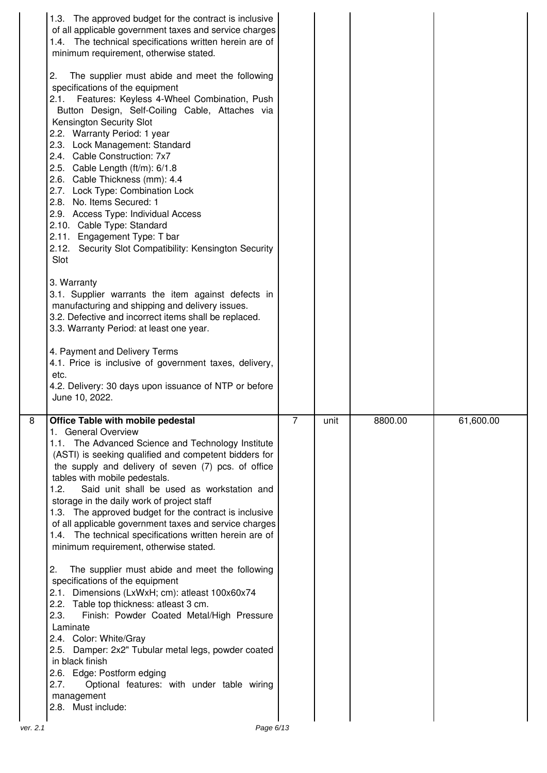| 1.3. The approved budget for the contract is inclusive<br>of all applicable government taxes and service charges<br>1.4. The technical specifications written herein are of<br>minimum requirement, otherwise stated.<br>The supplier must abide and meet the following<br>2.<br>specifications of the equipment<br>Features: Keyless 4-Wheel Combination, Push<br>2.1.<br>Button Design, Self-Coiling Cable, Attaches via<br><b>Kensington Security Slot</b><br>2.2. Warranty Period: 1 year<br>2.3. Lock Management: Standard<br>2.4. Cable Construction: 7x7<br>2.5. Cable Length (ft/m): 6/1.8<br>2.6. Cable Thickness (mm): 4.4<br>2.7. Lock Type: Combination Lock<br>2.8. No. Items Secured: 1<br>2.9. Access Type: Individual Access<br>2.10. Cable Type: Standard<br>2.11. Engagement Type: T bar<br>2.12. Security Slot Compatibility: Kensington Security<br>Slot<br>3. Warranty<br>3.1. Supplier warrants the item against defects in<br>manufacturing and shipping and delivery issues.<br>3.2. Defective and incorrect items shall be replaced.<br>3.3. Warranty Period: at least one year.<br>4. Payment and Delivery Terms<br>4.1. Price is inclusive of government taxes, delivery,<br>etc.<br>4.2. Delivery: 30 days upon issuance of NTP or before<br>June 10, 2022. |   |      |         |           |
|-----------------------------------------------------------------------------------------------------------------------------------------------------------------------------------------------------------------------------------------------------------------------------------------------------------------------------------------------------------------------------------------------------------------------------------------------------------------------------------------------------------------------------------------------------------------------------------------------------------------------------------------------------------------------------------------------------------------------------------------------------------------------------------------------------------------------------------------------------------------------------------------------------------------------------------------------------------------------------------------------------------------------------------------------------------------------------------------------------------------------------------------------------------------------------------------------------------------------------------------------------------------------------------------|---|------|---------|-----------|
| 8<br><b>Office Table with mobile pedestal</b><br>1. General Overview<br>1.1. The Advanced Science and Technology Institute<br>(ASTI) is seeking qualified and competent bidders for<br>the supply and delivery of seven (7) pcs. of office<br>tables with mobile pedestals.<br>1.2.<br>Said unit shall be used as workstation and<br>storage in the daily work of project staff<br>1.3. The approved budget for the contract is inclusive<br>of all applicable government taxes and service charges<br>1.4. The technical specifications written herein are of<br>minimum requirement, otherwise stated.<br>The supplier must abide and meet the following<br>2.<br>specifications of the equipment<br>2.1. Dimensions (LxWxH; cm): atleast 100x60x74<br>2.2. Table top thickness: atleast 3 cm.<br>Finish: Powder Coated Metal/High Pressure<br>2.3.<br>Laminate<br>2.4. Color: White/Gray<br>2.5. Damper: 2x2" Tubular metal legs, powder coated<br>in black finish<br>2.6. Edge: Postform edging<br>Optional features: with under table wiring<br>2.7.<br>management                                                                                                                                                                                                                 | 7 | unit | 8800.00 | 61,600.00 |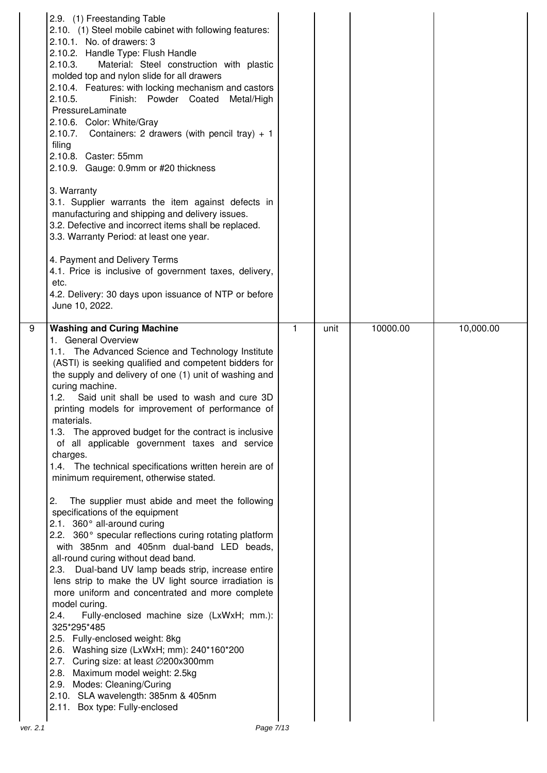| 2.9. (1) Freestanding Table<br>2.10. (1) Steel mobile cabinet with following features:<br>2.10.1. No. of drawers: 3<br>2.10.2. Handle Type: Flush Handle<br>Material: Steel construction with plastic<br>2.10.3.<br>molded top and nylon slide for all drawers<br>2.10.4. Features: with locking mechanism and castors<br>2.10.5.<br>Finish: Powder Coated<br>Metal/High<br>PressureLaminate<br>2.10.6. Color: White/Gray<br>Containers: 2 drawers (with pencil tray) $+1$<br>2.10.7.<br>filing<br>2.10.8. Caster: 55mm<br>2.10.9. Gauge: 0.9mm or #20 thickness<br>3. Warranty<br>3.1. Supplier warrants the item against defects in<br>manufacturing and shipping and delivery issues.<br>3.2. Defective and incorrect items shall be replaced.<br>3.3. Warranty Period: at least one year.<br>4. Payment and Delivery Terms<br>4.1. Price is inclusive of government taxes, delivery,<br>etc.<br>4.2. Delivery: 30 days upon issuance of NTP or before<br>June 10, 2022.                                                                                                                                                                                                                                                                                                                                                                                                                                             |              |      |          |           |
|-------------------------------------------------------------------------------------------------------------------------------------------------------------------------------------------------------------------------------------------------------------------------------------------------------------------------------------------------------------------------------------------------------------------------------------------------------------------------------------------------------------------------------------------------------------------------------------------------------------------------------------------------------------------------------------------------------------------------------------------------------------------------------------------------------------------------------------------------------------------------------------------------------------------------------------------------------------------------------------------------------------------------------------------------------------------------------------------------------------------------------------------------------------------------------------------------------------------------------------------------------------------------------------------------------------------------------------------------------------------------------------------------------------------------|--------------|------|----------|-----------|
| 9<br><b>Washing and Curing Machine</b><br>1. General Overview<br>1.1. The Advanced Science and Technology Institute<br>(ASTI) is seeking qualified and competent bidders for<br>the supply and delivery of one (1) unit of washing and<br>curing machine.<br>Said unit shall be used to wash and cure 3D<br>1.2.<br>printing models for improvement of performance of<br>materials.<br>1.3. The approved budget for the contract is inclusive<br>of all applicable government taxes and service<br>charges.<br>1.4. The technical specifications written herein are of<br>minimum requirement, otherwise stated.<br>The supplier must abide and meet the following<br>2.<br>specifications of the equipment<br>2.1. 360° all-around curing<br>2.2. 360° specular reflections curing rotating platform<br>with 385nm and 405nm dual-band LED beads,<br>all-round curing without dead band.<br>2.3. Dual-band UV lamp beads strip, increase entire<br>lens strip to make the UV light source irradiation is<br>more uniform and concentrated and more complete<br>model curing.<br>2.4.<br>Fully-enclosed machine size (LxWxH; mm.):<br>325*295*485<br>2.5. Fully-enclosed weight: 8kg<br>2.6. Washing size (LxWxH; mm): 240*160*200<br>2.7. Curing size: at least Ø200x300mm<br>2.8. Maximum model weight: 2.5kg<br>2.9. Modes: Cleaning/Curing<br>2.10. SLA wavelength: 385nm & 405nm<br>2.11. Box type: Fully-enclosed | $\mathbf{1}$ | unit | 10000.00 | 10,000.00 |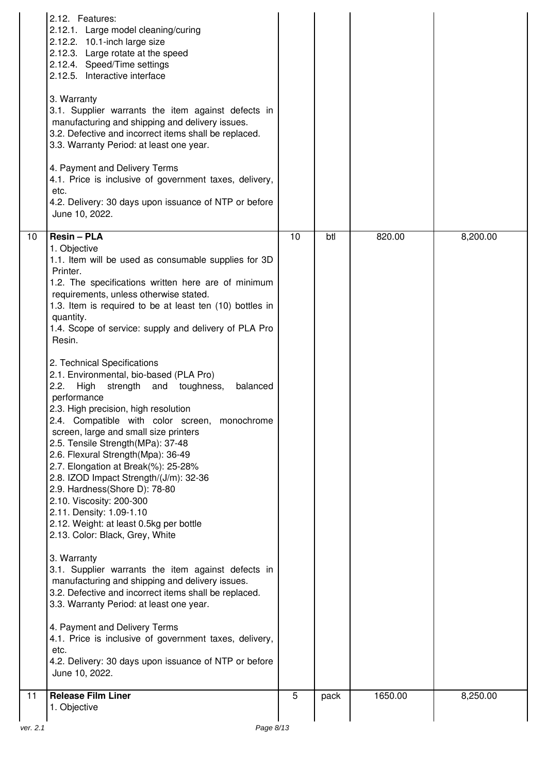|          | 2.12. Features:<br>2.12.1. Large model cleaning/curing<br>2.12.2. 10.1-inch large size<br>2.12.3. Large rotate at the speed<br>2.12.4. Speed/Time settings<br>2.12.5. Interactive interface<br>3. Warranty<br>3.1. Supplier warrants the item against defects in<br>manufacturing and shipping and delivery issues.<br>3.2. Defective and incorrect items shall be replaced.<br>3.3. Warranty Period: at least one year.<br>4. Payment and Delivery Terms<br>4.1. Price is inclusive of government taxes, delivery,<br>etc.<br>4.2. Delivery: 30 days upon issuance of NTP or before<br>June 10, 2022.                                                                                                                                                                                                                                                                                                                                                                                                                                                                                                                                                                                                                                                                                                                                                                               |    |      |         |          |
|----------|--------------------------------------------------------------------------------------------------------------------------------------------------------------------------------------------------------------------------------------------------------------------------------------------------------------------------------------------------------------------------------------------------------------------------------------------------------------------------------------------------------------------------------------------------------------------------------------------------------------------------------------------------------------------------------------------------------------------------------------------------------------------------------------------------------------------------------------------------------------------------------------------------------------------------------------------------------------------------------------------------------------------------------------------------------------------------------------------------------------------------------------------------------------------------------------------------------------------------------------------------------------------------------------------------------------------------------------------------------------------------------------|----|------|---------|----------|
| 10       | <b>Resin - PLA</b><br>1. Objective<br>1.1. Item will be used as consumable supplies for 3D<br>Printer.<br>1.2. The specifications written here are of minimum<br>requirements, unless otherwise stated.<br>1.3. Item is required to be at least ten (10) bottles in<br>quantity.<br>1.4. Scope of service: supply and delivery of PLA Pro<br>Resin.<br>2. Technical Specifications<br>2.1. Environmental, bio-based (PLA Pro)<br>balanced<br>2.2.<br>strength and toughness,<br>High<br>performance<br>2.3. High precision, high resolution<br>2.4. Compatible with color screen, monochrome<br>screen, large and small size printers<br>2.5. Tensile Strength (MPa): 37-48<br>2.6. Flexural Strength(Mpa): 36-49<br>2.7. Elongation at Break(%): 25-28%<br>2.8. IZOD Impact Strength/(J/m): 32-36<br>2.9. Hardness(Shore D): 78-80<br>2.10. Viscosity: 200-300<br>2.11. Density: 1.09-1.10<br>2.12. Weight: at least 0.5kg per bottle<br>2.13. Color: Black, Grey, White<br>3. Warranty<br>3.1. Supplier warrants the item against defects in<br>manufacturing and shipping and delivery issues.<br>3.2. Defective and incorrect items shall be replaced.<br>3.3. Warranty Period: at least one year.<br>4. Payment and Delivery Terms<br>4.1. Price is inclusive of government taxes, delivery,<br>etc.<br>4.2. Delivery: 30 days upon issuance of NTP or before<br>June 10, 2022. | 10 | btl  | 820.00  | 8,200.00 |
| 11       | <b>Release Film Liner</b><br>1. Objective                                                                                                                                                                                                                                                                                                                                                                                                                                                                                                                                                                                                                                                                                                                                                                                                                                                                                                                                                                                                                                                                                                                                                                                                                                                                                                                                            | 5  | pack | 1650.00 | 8,250.00 |
| ver. 2.1 | Page 8/13                                                                                                                                                                                                                                                                                                                                                                                                                                                                                                                                                                                                                                                                                                                                                                                                                                                                                                                                                                                                                                                                                                                                                                                                                                                                                                                                                                            |    |      |         |          |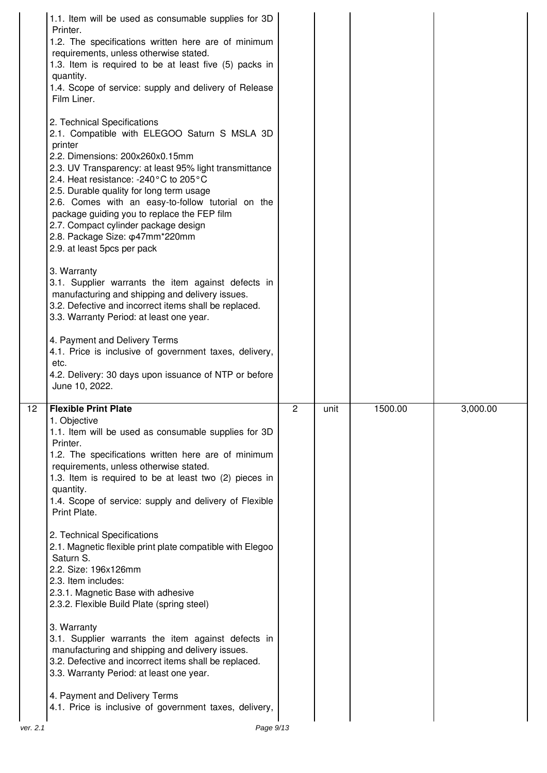|    | 1.1. Item will be used as consumable supplies for 3D<br>Printer.<br>1.2. The specifications written here are of minimum<br>requirements, unless otherwise stated.<br>1.3. Item is required to be at least five (5) packs in<br>quantity.<br>1.4. Scope of service: supply and delivery of Release<br>Film Liner.                                                                                                                                                                            |                |      |         |          |
|----|---------------------------------------------------------------------------------------------------------------------------------------------------------------------------------------------------------------------------------------------------------------------------------------------------------------------------------------------------------------------------------------------------------------------------------------------------------------------------------------------|----------------|------|---------|----------|
|    | 2. Technical Specifications<br>2.1. Compatible with ELEGOO Saturn S MSLA 3D<br>printer<br>2.2. Dimensions: 200x260x0.15mm<br>2.3. UV Transparency: at least 95% light transmittance<br>2.4. Heat resistance: -240°C to 205°C<br>2.5. Durable quality for long term usage<br>2.6. Comes with an easy-to-follow tutorial on the<br>package guiding you to replace the FEP film<br>2.7. Compact cylinder package design<br>2.8. Package Size: $\phi$ 47mm*220mm<br>2.9. at least 5pcs per pack |                |      |         |          |
|    | 3. Warranty<br>3.1. Supplier warrants the item against defects in<br>manufacturing and shipping and delivery issues.<br>3.2. Defective and incorrect items shall be replaced.<br>3.3. Warranty Period: at least one year.                                                                                                                                                                                                                                                                   |                |      |         |          |
|    | 4. Payment and Delivery Terms<br>4.1. Price is inclusive of government taxes, delivery,<br>etc.                                                                                                                                                                                                                                                                                                                                                                                             |                |      |         |          |
|    | 4.2. Delivery: 30 days upon issuance of NTP or before<br>June 10, 2022.                                                                                                                                                                                                                                                                                                                                                                                                                     |                |      |         |          |
| 12 | <b>Flexible Print Plate</b><br>1. Objective<br>1.1. Item will be used as consumable supplies for 3D<br>Printer.<br>1.2. The specifications written here are of minimum<br>requirements, unless otherwise stated.<br>1.3. Item is required to be at least two (2) pieces in<br>quantity.<br>1.4. Scope of service: supply and delivery of Flexible<br>Print Plate.                                                                                                                           | $\overline{2}$ | unit | 1500.00 | 3,000.00 |
|    | 2. Technical Specifications<br>2.1. Magnetic flexible print plate compatible with Elegoo<br>Saturn S.<br>2.2. Size: 196x126mm<br>2.3. Item includes:<br>2.3.1. Magnetic Base with adhesive<br>2.3.2. Flexible Build Plate (spring steel)                                                                                                                                                                                                                                                    |                |      |         |          |
|    | 3. Warranty<br>3.1. Supplier warrants the item against defects in<br>manufacturing and shipping and delivery issues.<br>3.2. Defective and incorrect items shall be replaced.<br>3.3. Warranty Period: at least one year.                                                                                                                                                                                                                                                                   |                |      |         |          |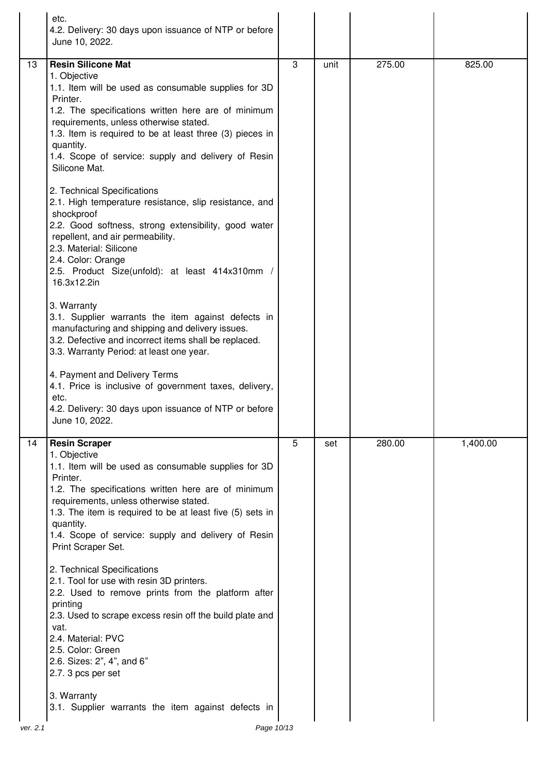| <b>Resin Silicone Mat</b><br>3<br>275.00<br>13<br>unit<br>825.00<br>1. Objective<br>1.1. Item will be used as consumable supplies for 3D<br>Printer.<br>1.2. The specifications written here are of minimum<br>requirements, unless otherwise stated.<br>1.3. Item is required to be at least three (3) pieces in<br>quantity.<br>1.4. Scope of service: supply and delivery of Resin<br>Silicone Mat.<br>2. Technical Specifications<br>2.1. High temperature resistance, slip resistance, and<br>shockproof<br>2.2. Good softness, strong extensibility, good water<br>repellent, and air permeability.<br>2.3. Material: Silicone<br>2.4. Color: Orange<br>2.5. Product Size(unfold): at least 414x310mm /<br>16.3x12.2in<br>3. Warranty<br>3.1. Supplier warrants the item against defects in<br>manufacturing and shipping and delivery issues.<br>3.2. Defective and incorrect items shall be replaced.<br>3.3. Warranty Period: at least one year.<br>4. Payment and Delivery Terms<br>4.1. Price is inclusive of government taxes, delivery,<br>etc.<br>4.2. Delivery: 30 days upon issuance of NTP or before<br>June 10, 2022.<br>5<br>280.00<br>1,400.00<br><b>Resin Scraper</b><br>14<br>set<br>1. Objective<br>1.1. Item will be used as consumable supplies for 3D<br>Printer.<br>1.2. The specifications written here are of minimum<br>requirements, unless otherwise stated.<br>1.3. The item is required to be at least five (5) sets in<br>quantity.<br>1.4. Scope of service: supply and delivery of Resin<br>Print Scraper Set.<br>2. Technical Specifications<br>2.1. Tool for use with resin 3D printers.<br>2.2. Used to remove prints from the platform after<br>printing<br>2.3. Used to scrape excess resin off the build plate and<br>vat.<br>2.4. Material: PVC<br>2.5. Color: Green<br>2.6. Sizes: 2", 4", and 6"<br>2.7. 3 pcs per set<br>3. Warranty<br>3.1. Supplier warrants the item against defects in | etc.<br>4.2. Delivery: 30 days upon issuance of NTP or before<br>June 10, 2022. |  |  |
|-------------------------------------------------------------------------------------------------------------------------------------------------------------------------------------------------------------------------------------------------------------------------------------------------------------------------------------------------------------------------------------------------------------------------------------------------------------------------------------------------------------------------------------------------------------------------------------------------------------------------------------------------------------------------------------------------------------------------------------------------------------------------------------------------------------------------------------------------------------------------------------------------------------------------------------------------------------------------------------------------------------------------------------------------------------------------------------------------------------------------------------------------------------------------------------------------------------------------------------------------------------------------------------------------------------------------------------------------------------------------------------------------------------------------------------------------------------------------------------------------------------------------------------------------------------------------------------------------------------------------------------------------------------------------------------------------------------------------------------------------------------------------------------------------------------------------------------------------------------------------------------------------------------------------------------------|---------------------------------------------------------------------------------|--|--|
|                                                                                                                                                                                                                                                                                                                                                                                                                                                                                                                                                                                                                                                                                                                                                                                                                                                                                                                                                                                                                                                                                                                                                                                                                                                                                                                                                                                                                                                                                                                                                                                                                                                                                                                                                                                                                                                                                                                                           |                                                                                 |  |  |
|                                                                                                                                                                                                                                                                                                                                                                                                                                                                                                                                                                                                                                                                                                                                                                                                                                                                                                                                                                                                                                                                                                                                                                                                                                                                                                                                                                                                                                                                                                                                                                                                                                                                                                                                                                                                                                                                                                                                           |                                                                                 |  |  |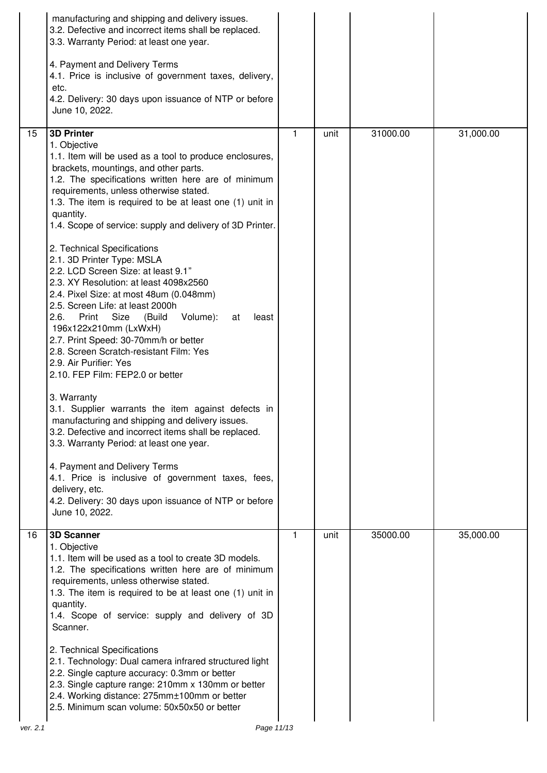|    | manufacturing and shipping and delivery issues.<br>3.2. Defective and incorrect items shall be replaced.<br>3.3. Warranty Period: at least one year.<br>4. Payment and Delivery Terms<br>4.1. Price is inclusive of government taxes, delivery,<br>etc.<br>4.2. Delivery: 30 days upon issuance of NTP or before<br>June 10, 2022.                                                                                                                                                                                                                                                                                                                                                                                                                                                                                                                                                                                                                                                                                                                                                                                                                                                                                                                                  |    |      |          |           |
|----|---------------------------------------------------------------------------------------------------------------------------------------------------------------------------------------------------------------------------------------------------------------------------------------------------------------------------------------------------------------------------------------------------------------------------------------------------------------------------------------------------------------------------------------------------------------------------------------------------------------------------------------------------------------------------------------------------------------------------------------------------------------------------------------------------------------------------------------------------------------------------------------------------------------------------------------------------------------------------------------------------------------------------------------------------------------------------------------------------------------------------------------------------------------------------------------------------------------------------------------------------------------------|----|------|----------|-----------|
| 15 | <b>3D Printer</b><br>1. Objective<br>1.1. Item will be used as a tool to produce enclosures,<br>brackets, mountings, and other parts.<br>1.2. The specifications written here are of minimum<br>requirements, unless otherwise stated.<br>1.3. The item is required to be at least one (1) unit in<br>quantity.<br>1.4. Scope of service: supply and delivery of 3D Printer.<br>2. Technical Specifications<br>2.1. 3D Printer Type: MSLA<br>2.2. LCD Screen Size: at least 9.1"<br>2.3. XY Resolution: at least 4098x2560<br>2.4. Pixel Size: at most 48um (0.048mm)<br>2.5. Screen Life: at least 2000h<br>2.6.<br>Size<br>Volume):<br>Print<br>(Build<br>at<br>least<br>196x122x210mm (LxWxH)<br>2.7. Print Speed: 30-70mm/h or better<br>2.8. Screen Scratch-resistant Film: Yes<br>2.9. Air Purifier: Yes<br>2.10. FEP Film: FEP2.0 or better<br>3. Warranty<br>3.1. Supplier warrants the item against defects in<br>manufacturing and shipping and delivery issues.<br>3.2. Defective and incorrect items shall be replaced.<br>3.3. Warranty Period: at least one year.<br>4. Payment and Delivery Terms<br>4.1. Price is inclusive of government taxes, fees,<br>delivery, etc.<br>4.2. Delivery: 30 days upon issuance of NTP or before<br>June 10, 2022. | 1. | unit | 31000.00 | 31,000.00 |
| 16 | <b>3D Scanner</b><br>1. Objective<br>1.1. Item will be used as a tool to create 3D models.<br>1.2. The specifications written here are of minimum<br>requirements, unless otherwise stated.<br>1.3. The item is required to be at least one (1) unit in<br>quantity.<br>1.4. Scope of service: supply and delivery of 3D<br>Scanner.<br>2. Technical Specifications<br>2.1. Technology: Dual camera infrared structured light<br>2.2. Single capture accuracy: 0.3mm or better<br>2.3. Single capture range: 210mm x 130mm or better<br>2.4. Working distance: 275mm±100mm or better<br>2.5. Minimum scan volume: 50x50x50 or better                                                                                                                                                                                                                                                                                                                                                                                                                                                                                                                                                                                                                                | 1  | unit | 35000.00 | 35,000.00 |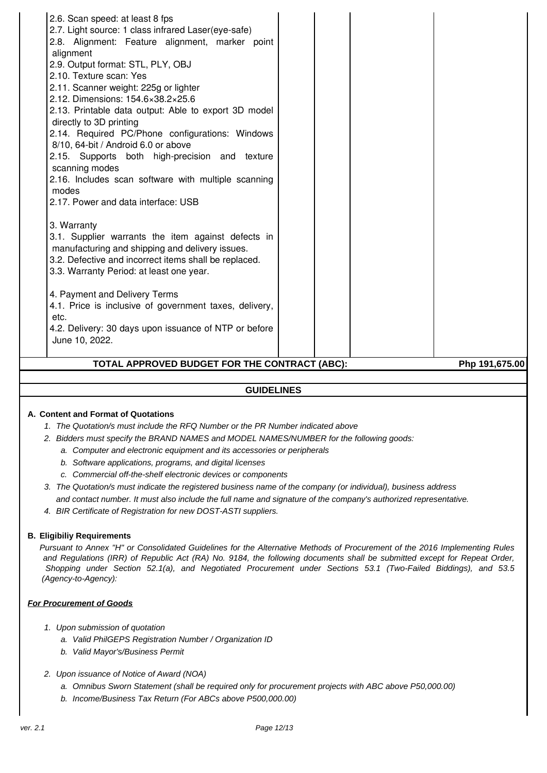| 2.17. Power and data interface: USB<br>3. Warranty<br>3.1. Supplier warrants the item against defects in<br>manufacturing and shipping and delivery issues.                                                                                                                     |  |  |
|---------------------------------------------------------------------------------------------------------------------------------------------------------------------------------------------------------------------------------------------------------------------------------|--|--|
| 3.2. Defective and incorrect items shall be replaced.<br>3.3. Warranty Period: at least one year.<br>4. Payment and Delivery Terms<br>4.1. Price is inclusive of government taxes, delivery,<br>etc.<br>4.2. Delivery: 30 days upon issuance of NTP or before<br>June 10, 2022. |  |  |

### **GUIDELINES**

#### **A. Content and Format of Quotations**

- 1. The Quotation/s must include the RFQ Number or the PR Number indicated above
- 2. Bidders must specify the BRAND NAMES and MODEL NAMES/NUMBER for the following goods:
	- a. Computer and electronic equipment and its accessories or peripherals
	- b. Software applications, programs, and digital licenses
	- c. Commercial off-the-shelf electronic devices or components
- 3. The Quotation/s must indicate the registered business name of the company (or individual), business address and contact number. It must also include the full name and signature of the company's authorized representative.
- 4. BIR Certificate of Registration for new DOST-ASTI suppliers.

#### **B. Eligibiliy Requirements**

Pursuant to Annex "H" or Consolidated Guidelines for the Alternative Methods of Procurement of the 2016 Implementing Rules and Regulations (IRR) of Republic Act (RA) No. 9184, the following documents shall be submitted except for Repeat Order, Shopping under Section 52.1(a), and Negotiated Procurement under Sections 53.1 (Two-Failed Biddings), and 53.5 (Agency-to-Agency):

#### **For Procurement of Goods**

- 1. Upon submission of quotation
	- a. Valid PhilGEPS Registration Number / Organization ID
	- b. Valid Mayor's/Business Permit
- 2. Upon issuance of Notice of Award (NOA)
	- a. Omnibus Sworn Statement (shall be required only for procurement projects with ABC above P50,000.00)
	- b. Income/Business Tax Return (For ABCs above P500,000.00)